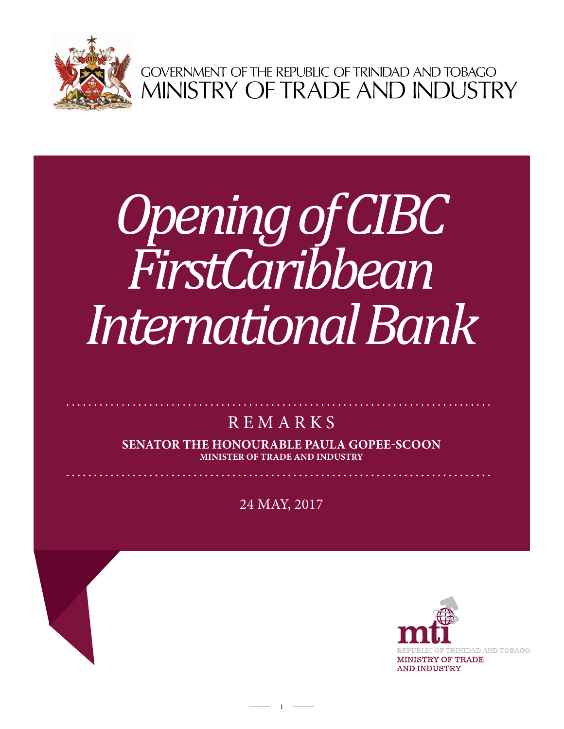

GOVERNMENT OF THE REPUBLIC OF TRINIDAD AND TOBAGO<br>MINISTRY OF TRADE AND INDUSTRY

# *Opening of CIBC FirstCaribbean International Bank*

# **REMARKS**

**Senator the Honourable Paula Gopee-Scoon Minister of Trade and Industry**

24 MAY, 2017

 $1 -$ 

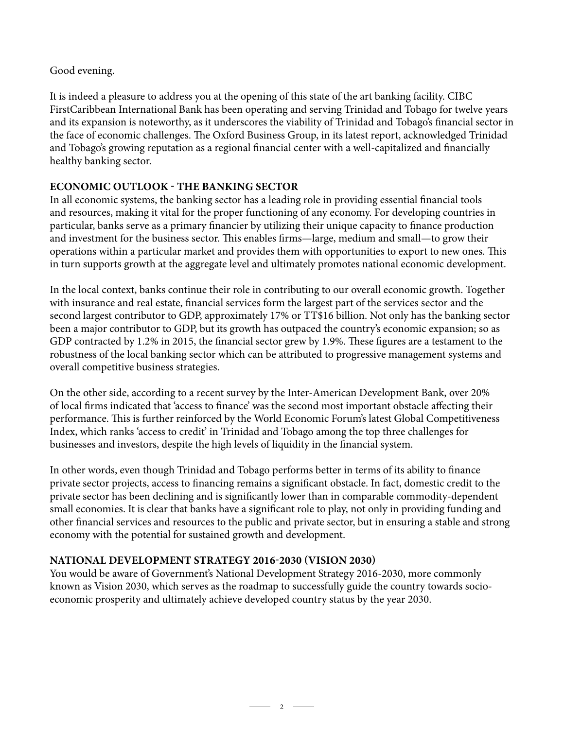# Good evening.

It is indeed a pleasure to address you at the opening of this state of the art banking facility. CIBC FirstCaribbean International Bank has been operating and serving Trinidad and Tobago for twelve years and its expansion is noteworthy, as it underscores the viability of Trinidad and Tobago's financial sector in the face of economic challenges. The Oxford Business Group, in its latest report, acknowledged Trinidad and Tobago's growing reputation as a regional financial center with a well-capitalized and financially healthy banking sector.

# **Economic Outlook - The Banking Sector**

In all economic systems, the banking sector has a leading role in providing essential financial tools and resources, making it vital for the proper functioning of any economy. For developing countries in particular, banks serve as a primary financier by utilizing their unique capacity to finance production and investment for the business sector. This enables firms—large, medium and small—to grow their operations within a particular market and provides them with opportunities to export to new ones. This in turn supports growth at the aggregate level and ultimately promotes national economic development.

In the local context, banks continue their role in contributing to our overall economic growth. Together with insurance and real estate, financial services form the largest part of the services sector and the second largest contributor to GDP, approximately 17% or TT\$16 billion. Not only has the banking sector been a major contributor to GDP, but its growth has outpaced the country's economic expansion; so as GDP contracted by 1.2% in 2015, the financial sector grew by 1.9%. These figures are a testament to the robustness of the local banking sector which can be attributed to progressive management systems and overall competitive business strategies.

On the other side, according to a recent survey by the Inter-American Development Bank, over 20% of local firms indicated that 'access to finance' was the second most important obstacle affecting their performance. This is further reinforced by the World Economic Forum's latest Global Competitiveness Index, which ranks 'access to credit' in Trinidad and Tobago among the top three challenges for businesses and investors, despite the high levels of liquidity in the financial system.

In other words, even though Trinidad and Tobago performs better in terms of its ability to finance private sector projects, access to financing remains a significant obstacle. In fact, domestic credit to the private sector has been declining and is significantly lower than in comparable commodity-dependent small economies. It is clear that banks have a significant role to play, not only in providing funding and other financial services and resources to the public and private sector, but in ensuring a stable and strong economy with the potential for sustained growth and development.

## **National Development Strategy 2016-2030 (Vision 2030)**

You would be aware of Government's National Development Strategy 2016-2030, more commonly known as Vision 2030, which serves as the roadmap to successfully guide the country towards socioeconomic prosperity and ultimately achieve developed country status by the year 2030.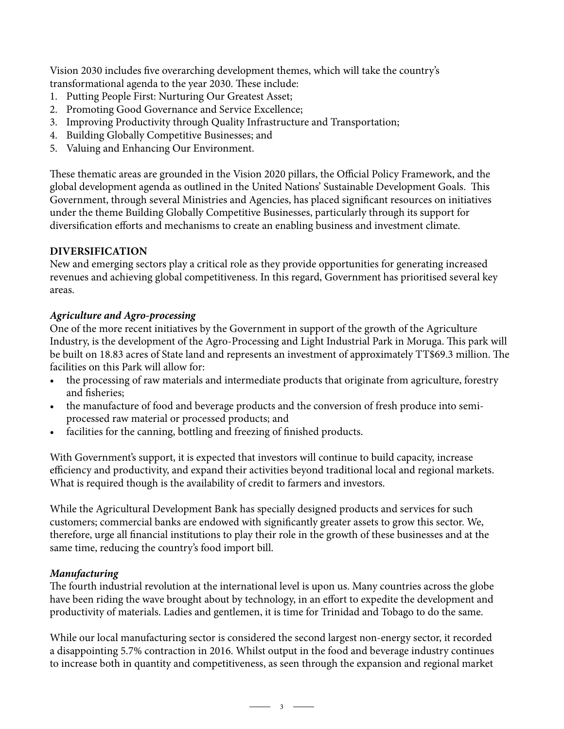Vision 2030 includes five overarching development themes, which will take the country's transformational agenda to the year 2030. These include:

- 1. Putting People First: Nurturing Our Greatest Asset;
- 2. Promoting Good Governance and Service Excellence;
- 3. Improving Productivity through Quality Infrastructure and Transportation;
- 4. Building Globally Competitive Businesses; and
- 5. Valuing and Enhancing Our Environment.

These thematic areas are grounded in the Vision 2020 pillars, the Official Policy Framework, and the global development agenda as outlined in the United Nations' Sustainable Development Goals. This Government, through several Ministries and Agencies, has placed significant resources on initiatives under the theme Building Globally Competitive Businesses, particularly through its support for diversification efforts and mechanisms to create an enabling business and investment climate.

#### **Diversification**

New and emerging sectors play a critical role as they provide opportunities for generating increased revenues and achieving global competitiveness. In this regard, Government has prioritised several key areas.

#### *Agriculture and Agro-processing*

One of the more recent initiatives by the Government in support of the growth of the Agriculture Industry, is the development of the Agro-Processing and Light Industrial Park in Moruga. This park will be built on 18.83 acres of State land and represents an investment of approximately TT\$69.3 million. The facilities on this Park will allow for:

- the processing of raw materials and intermediate products that originate from agriculture, forestry and fisheries;
- the manufacture of food and beverage products and the conversion of fresh produce into semiprocessed raw material or processed products; and
- facilities for the canning, bottling and freezing of finished products.

With Government's support, it is expected that investors will continue to build capacity, increase efficiency and productivity, and expand their activities beyond traditional local and regional markets. What is required though is the availability of credit to farmers and investors.

While the Agricultural Development Bank has specially designed products and services for such customers; commercial banks are endowed with significantly greater assets to grow this sector. We, therefore, urge all financial institutions to play their role in the growth of these businesses and at the same time, reducing the country's food import bill.

#### *Manufacturing*

The fourth industrial revolution at the international level is upon us. Many countries across the globe have been riding the wave brought about by technology, in an effort to expedite the development and productivity of materials. Ladies and gentlemen, it is time for Trinidad and Tobago to do the same.

While our local manufacturing sector is considered the second largest non-energy sector, it recorded a disappointing 5.7% contraction in 2016. Whilst output in the food and beverage industry continues to increase both in quantity and competitiveness, as seen through the expansion and regional market

 $\overline{\phantom{1}}$  3  $\overline{\phantom{1}}$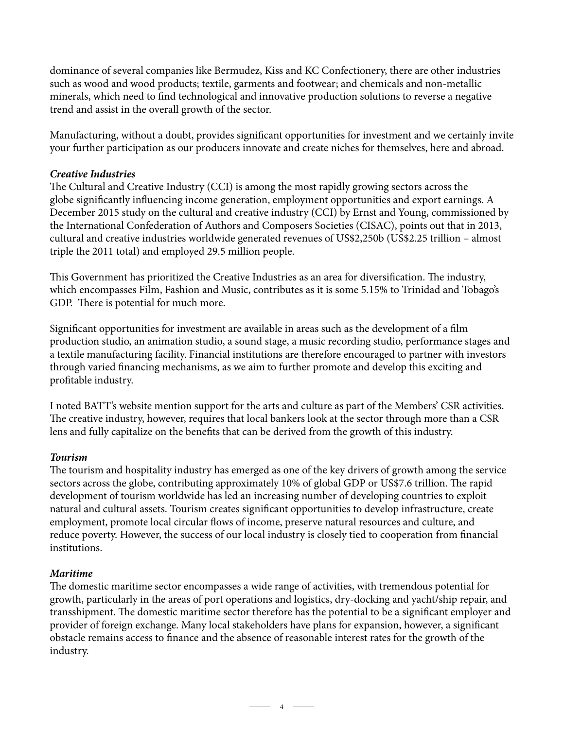dominance of several companies like Bermudez, Kiss and KC Confectionery, there are other industries such as wood and wood products; textile, garments and footwear; and chemicals and non-metallic minerals, which need to find technological and innovative production solutions to reverse a negative trend and assist in the overall growth of the sector.

Manufacturing, without a doubt, provides significant opportunities for investment and we certainly invite your further participation as our producers innovate and create niches for themselves, here and abroad.

#### *Creative Industries*

The Cultural and Creative Industry (CCI) is among the most rapidly growing sectors across the globe significantly influencing income generation, employment opportunities and export earnings. A December 2015 study on the cultural and creative industry (CCI) by Ernst and Young, commissioned by the International Confederation of Authors and Composers Societies (CISAC), points out that in 2013, cultural and creative industries worldwide generated revenues of US\$2,250b (US\$2.25 trillion – almost triple the 2011 total) and employed 29.5 million people.

This Government has prioritized the Creative Industries as an area for diversification. The industry, which encompasses Film, Fashion and Music, contributes as it is some 5.15% to Trinidad and Tobago's GDP. There is potential for much more.

Significant opportunities for investment are available in areas such as the development of a film production studio, an animation studio, a sound stage, a music recording studio, performance stages and a textile manufacturing facility. Financial institutions are therefore encouraged to partner with investors through varied financing mechanisms, as we aim to further promote and develop this exciting and profitable industry.

I noted BATT's website mention support for the arts and culture as part of the Members' CSR activities. The creative industry, however, requires that local bankers look at the sector through more than a CSR lens and fully capitalize on the benefits that can be derived from the growth of this industry.

#### *Tourism*

The tourism and hospitality industry has emerged as one of the key drivers of growth among the service sectors across the globe, contributing approximately 10% of global GDP or US\$7.6 trillion. The rapid development of tourism worldwide has led an increasing number of developing countries to exploit natural and cultural assets. Tourism creates significant opportunities to develop infrastructure, create employment, promote local circular flows of income, preserve natural resources and culture, and reduce poverty. However, the success of our local industry is closely tied to cooperation from financial institutions.

#### *Maritime*

The domestic maritime sector encompasses a wide range of activities, with tremendous potential for growth, particularly in the areas of port operations and logistics, dry-docking and yacht/ship repair, and transshipment. The domestic maritime sector therefore has the potential to be a significant employer and provider of foreign exchange. Many local stakeholders have plans for expansion, however, a significant obstacle remains access to finance and the absence of reasonable interest rates for the growth of the industry.

 $-$  4  $-$